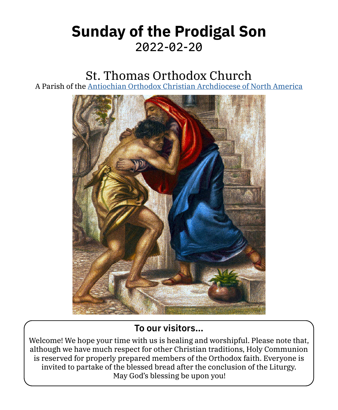# **Sunday of the Prodigal Son** 2022‑02‑20

# St. Thomas Orthodox Church

A Parish of the [Antiochian Orthodox Christian Archdiocese of North America](https://www.antiochian.org)



### **To our visitors…**

Welcome! We hope your time with us is healing and worshipful. Please note that, although we have much respect for other Christian traditions, Holy Communion is reserved for properly prepared members of the Orthodox faith. Everyone is invited to partake of the blessed bread after the conclusion of the Liturgy. May God's blessing be upon you!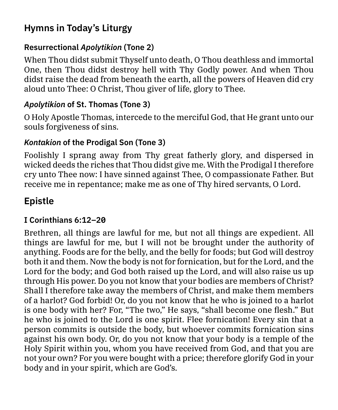## **Hymns in Today's Liturgy**

#### **Resurrectional** *Apolytikion* **(Tone 2)**

When Thou didst submit Thyself unto death, O Thou deathless and immortal One, then Thou didst destroy hell with Thy Godly power. And when Thou didst raise the dead from beneath the earth, all the powers of Heaven did cry aloud unto Thee: O Christ, Thou giver of life, glory to Thee.

#### *Apolytikion* **of St. Thomas (Tone 3)**

O Holy Apostle Thomas, intercede to the merciful God, that He grant unto our souls forgiveness of sins.

### *Kontakion* **of the Prodigal Son (Tone 3)**

Foolishly I sprang away from Thy great fatherly glory, and dispersed in wicked deeds the riches that Thou didst give me. With the Prodigal I therefore cry unto Thee now: I have sinned against Thee, O compassionate Father. But receive me in repentance; make me as one of Thy hired servants, O Lord.

# **Epistle**

### **I Corinthians 6:12–20**

Brethren, all things are lawful for me, but not all things are expedient. All things are lawful for me, but I will not be brought under the authority of anything. Foods are for the belly, and the belly for foods; but God will destroy both it and them. Now the body is not for fornication, but for the Lord, and the Lord for the body; and God both raised up the Lord, and will also raise us up through His power. Do you not know that your bodies are members of Christ? Shall I therefore take away the members of Christ, and make them members of a harlot? God forbid! Or, do you not know that he who is joined to a harlot is one body with her? For, "The two," He says, "shall become one flesh." But he who is joined to the Lord is one spirit. Flee fornication! Every sin that a person commits is outside the body, but whoever commits fornication sins against his own body. Or, do you not know that your body is a temple of the Holy Spirit within you, whom you have received from God, and that you are not your own? For you were bought with a price; therefore glorify God in your body and in your spirit, which are God's.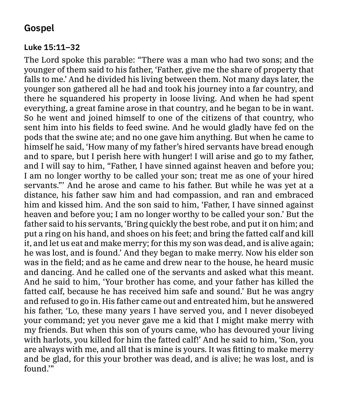### **Gospel**

#### **Luke 15:11–32**

The Lord spoke this parable: "There was a man who had two sons; and the younger of them said to his father, 'Father, give me the share of property that falls to me.' And he divided his living between them. Not many days later, the younger son gathered all he had and took his journey into a far country, and there he squandered his property in loose living. And when he had spent everything, a great famine arose in that country, and he began to be in want. So he went and joined himself to one of the citizens of that country, who sent him into his fields to feed swine. And he would gladly have fed on the pods that the swine ate; and no one gave him anything. But when he came to himself he said, 'How many of my father's hired servants have bread enough and to spare, but I perish here with hunger! I will arise and go to my father, and I will say to him, "Father, I have sinned against heaven and before you; I am no longer worthy to be called your son; treat me as one of your hired servants."' And he arose and came to his father. But while he was yet at a distance, his father saw him and had compassion, and ran and embraced him and kissed him. And the son said to him, 'Father, I have sinned against heaven and before you; I am no longer worthy to be called your son.' But the father said to his servants, 'Bring quickly the best robe, and put it on him; and put a ring on his hand, and shoes on his feet; and bring the fatted calf and kill it, and let us eat and make merry; for this my son was dead, and is alive again; he was lost, and is found.' And they began to make merry. Now his elder son was in the field; and as he came and drew near to the house, he heard music and dancing. And he called one of the servants and asked what this meant. And he said to him, 'Your brother has come, and your father has killed the fatted calf, because he has received him safe and sound.' But he was angry and refused to go in. His father came out and entreated him, but he answered his father, 'Lo, these many years I have served you, and I never disobeyed your command; yet you never gave me a kid that I might make merry with my friends. But when this son of yours came, who has devoured your living with harlots, you killed for him the fatted calf!' And he said to him, 'Son, you are always with me, and all that is mine is yours. It was fitting to make merry and be glad, for this your brother was dead, and is alive; he was lost, and is  $f$ <sub>011</sub> $n$  $d$   $''$